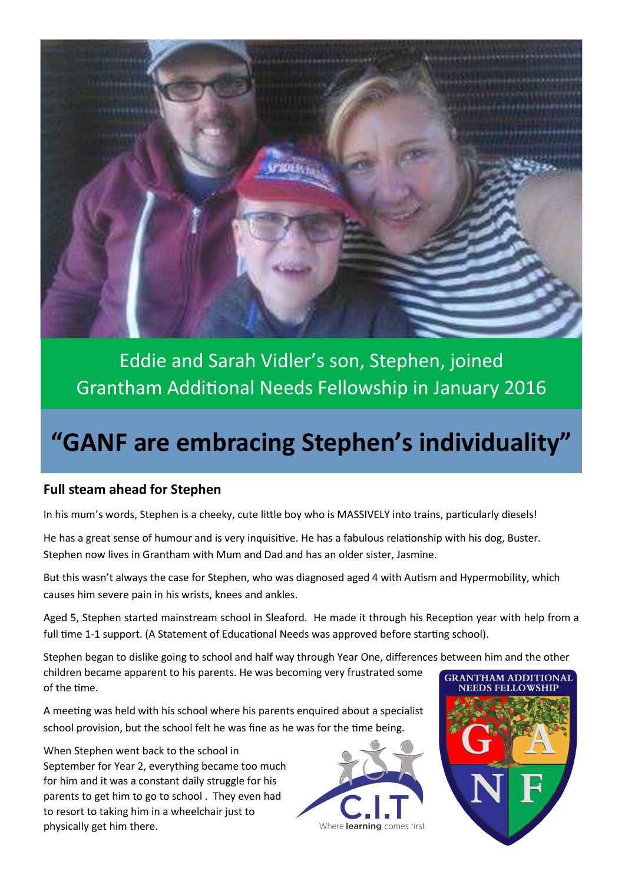

Eddie and Sarah Vidler's son, Stephen, joined Grantham Additional Needs Fellowship in January 2016

# **"GANF are embracing Stephen's individuality"**

### **Full steam ahead for Stephen**

In his mum's words, Stephen is a cheeky, cute little boy who is MASSIVELY into trains, particularly diesels!

He has a great sense of humour and is very inquisitive. He has a fabulous relationship with his dog, Buster. Stephen now lives in Grantham with Mum and Dad and has an older sister, Jasmine.

But this wasn't always the case for Stephen, who was diagnosed aged 4 with Autism and Hypermobility, which causes him severe pain in his wrists, knees and ankles.

Aged 5, Stephen started mainstream school in Sleaford. He made it through his Reception year with help from a full time 1-1 support. (A Statement of Educational Needs was approved before starting school).

Stephen began to dislike going to school and half way through Year One, differences between him and the other children became apparent to his parents. He was becoming very frustrated some of the time. **NEEDS FELLOWSHIP** 

A meeting was held with his school where his parents enquired about a specialist school provision, but the school felt he was fine as he was for the time being.

When Stephen went back to the school in September for Year 2, everything became too much for him and it was a constant daily struggle for his parents to get him to go to school . They even had to resort to taking him in a wheelchair just to physically get him there.